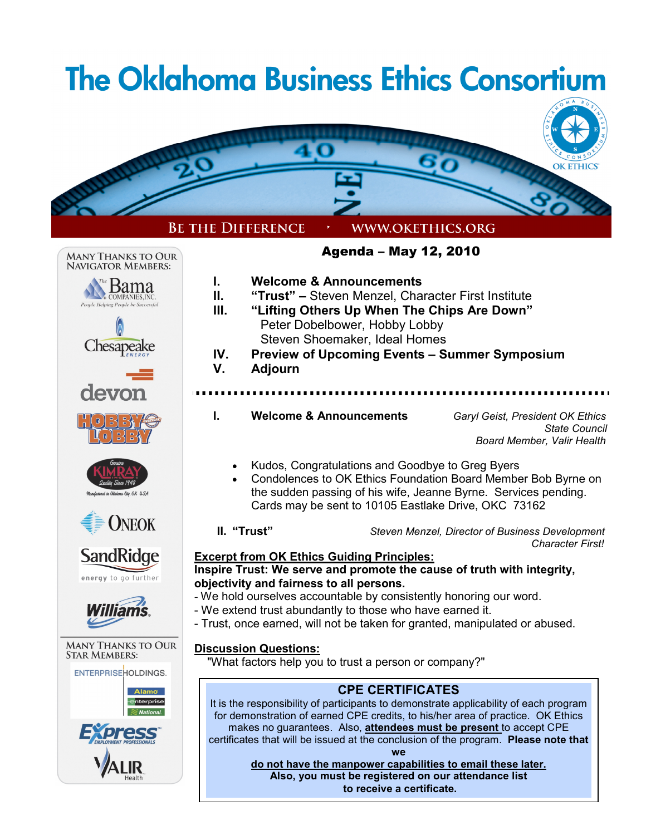#### **The Oklahoma Business Ethics Consortium OK ETHICS BE THE DIFFERENCE** WWW.OKETHICS.ORG Agenda – May 12, 2010 **MANY THANKS TO OUR** NAVIGATOR MEMBERS: **I. Welcome & Announcements**  'Bama **DAITIA II. "Trust" –** Steven Menzel, Character First Institute People Helping People be Succ **III. "Lifting Others Up When The Chips Are Down"**  Peter Dobelbower, Hobby Lobby Steven Shoemaker, Ideal Homes Chesapeake **IV. Preview of Upcoming Events – Summer Symposium V. Adjourn**  devon **I. Welcome & Announcements** *Garyl Geist, President OK Ethics State Council Board Member, Valir Health*  • Kudos, Congratulations and Goodbye to Greg Byers • Condolences to OK Ethics Foundation Board Member Bob Byrne on the sudden passing of his wife, Jeanne Byrne. Services pending. Cards may be sent to 10105 Eastlake Drive, OKC 73162 **ONEOK II.****"Trust"** *Steven Menzel, Director of Business Development Character First!*  **SandRidge Excerpt from OK Ethics Guiding Principles: Inspire Trust: We serve and promote the cause of truth with integrity,**  energy to go further **objectivity and fairness to all persons.** - We hold ourselves accountable by consistently honoring our word. - We extend trust abundantly to those who have earned it. - Trust, once earned, will not be taken for granted, manipulated or abused. **MANY THANKS TO OUR Discussion Questions: STAR MEMBERS:**  "What factors help you to trust a person or company?" **ENTERPRISEHOLDINGS. CPE CERTIFICATES** It is the responsibility of participants to demonstrate applicability of each program for demonstration of earned CPE credits, to his/her area of practice. OK Ethics makes no guarantees. Also, **attendees must be present** to accept CPE certificates that will be issued at the conclusion of the program. **Please note that we do not have the manpower capabilities to email these later. Also, you must be registered on our attendance list to receive a certificate.**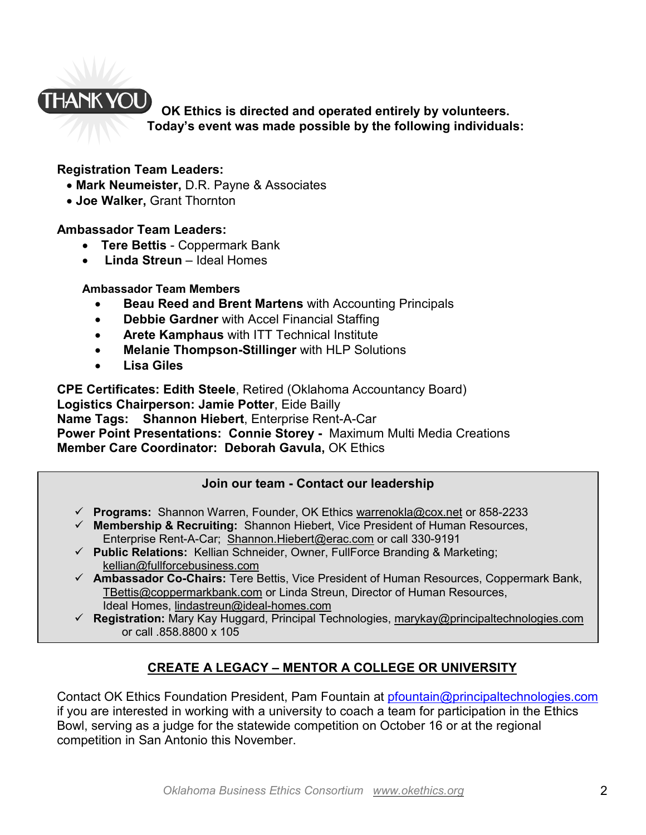# **HANK YOU**

**OK Ethics is directed and operated entirely by volunteers. Today's event was made possible by the following individuals:** 

# **Registration Team Leaders:**

- **Mark Neumeister,** D.R. Payne & Associates
- **Joe Walker,** Grant Thornton

# **Ambassador Team Leaders:**

- **Tere Bettis**  Coppermark Bank
- • **Linda Streun** Ideal Homes

#### **Ambassador Team Members**

- **Beau Reed and Brent Martens** with Accounting Principals
- **Debbie Gardner** with Accel Financial Staffing
- **Arete Kamphaus** with ITT Technical Institute
- **Melanie Thompson-Stillinger** with HLP Solutions
- **Lisa Giles**

**CPE Certificates: Edith Steele**, Retired (Oklahoma Accountancy Board) **Logistics Chairperson: Jamie Potter**, Eide Bailly **Name Tags: Shannon Hiebert**, Enterprise Rent-A-Car **Power Point Presentations: Connie Storey -** Maximum Multi Media Creations **Member Care Coordinator: Deborah Gavula, OK Ethics** 

# **Join our team - Contact our leadership**

- **Programs:** Shannon Warren, Founder, OK Ethics warrenokla@cox.net or 858-2233
- **Membership & Recruiting:** Shannon Hiebert, Vice President of Human Resources, Enterprise Rent-A-Car; Shannon.Hiebert@erac.com or call 330-9191
- **Public Relations:** Kellian Schneider, Owner, FullForce Branding & Marketing; kellian@fullforcebusiness.com
- **Ambassador Co-Chairs:** Tere Bettis, Vice President of Human Resources, Coppermark Bank, TBettis@coppermarkbank.com or Linda Streun, Director of Human Resources, Ideal Homes, lindastreun@ideal-homes.com
- **Registration:** Mary Kay Huggard, Principal Technologies, marykay@principaltechnologies.com or call .858.8800 x 105

# **CREATE A LEGACY – MENTOR A COLLEGE OR UNIVERSITY**

Contact OK Ethics Foundation President, Pam Fountain at pfountain@principaltechnologies.com if you are interested in working with a university to coach a team for participation in the Ethics Bowl, serving as a judge for the statewide competition on October 16 or at the regional competition in San Antonio this November.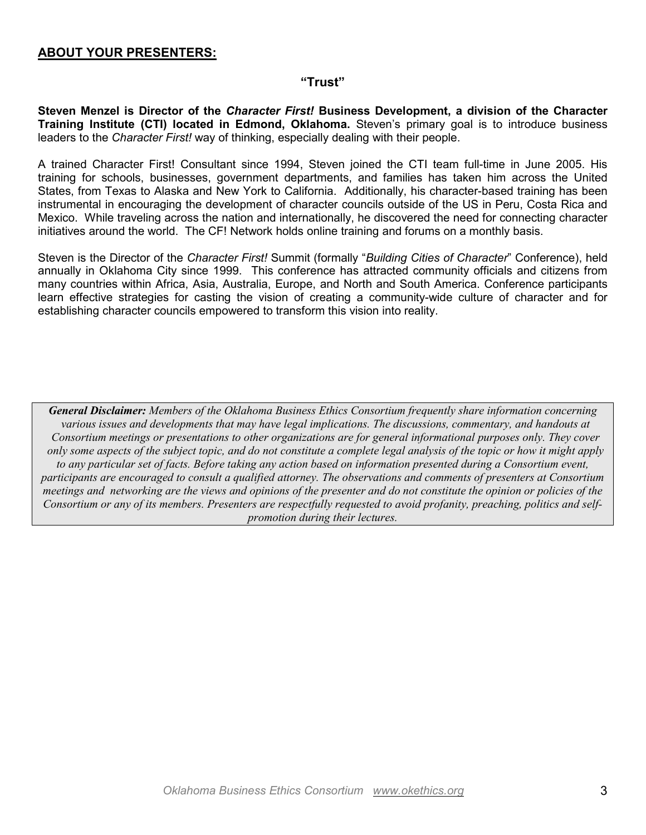#### **ABOUT YOUR PRESENTERS:**

#### **"Trust"**

**Steven Menzel is Director of the** *Character First!* **Business Development, a division of the Character Training Institute (CTI) located in Edmond, Oklahoma.** Steven's primary goal is to introduce business leaders to the *Character First!* way of thinking, especially dealing with their people.

A trained Character First! Consultant since 1994, Steven joined the CTI team full-time in June 2005. His training for schools, businesses, government departments, and families has taken him across the United States, from Texas to Alaska and New York to California. Additionally, his character-based training has been instrumental in encouraging the development of character councils outside of the US in Peru, Costa Rica and Mexico. While traveling across the nation and internationally, he discovered the need for connecting character initiatives around the world. The CF! Network holds online training and forums on a monthly basis.

Steven is the Director of the *Character First!* Summit (formally "*Building Cities of Character*" Conference), held annually in Oklahoma City since 1999. This conference has attracted community officials and citizens from many countries within Africa, Asia, Australia, Europe, and North and South America. Conference participants learn effective strategies for casting the vision of creating a community-wide culture of character and for establishing character councils empowered to transform this vision into reality.

*General Disclaimer: Members of the Oklahoma Business Ethics Consortium frequently share information concerning various issues and developments that may have legal implications. The discussions, commentary, and handouts at Consortium meetings or presentations to other organizations are for general informational purposes only. They cover only some aspects of the subject topic, and do not constitute a complete legal analysis of the topic or how it might apply to any particular set of facts. Before taking any action based on information presented during a Consortium event, participants are encouraged to consult a qualified attorney. The observations and comments of presenters at Consortium meetings and networking are the views and opinions of the presenter and do not constitute the opinion or policies of the Consortium or any of its members. Presenters are respectfully requested to avoid profanity, preaching, politics and selfpromotion during their lectures.*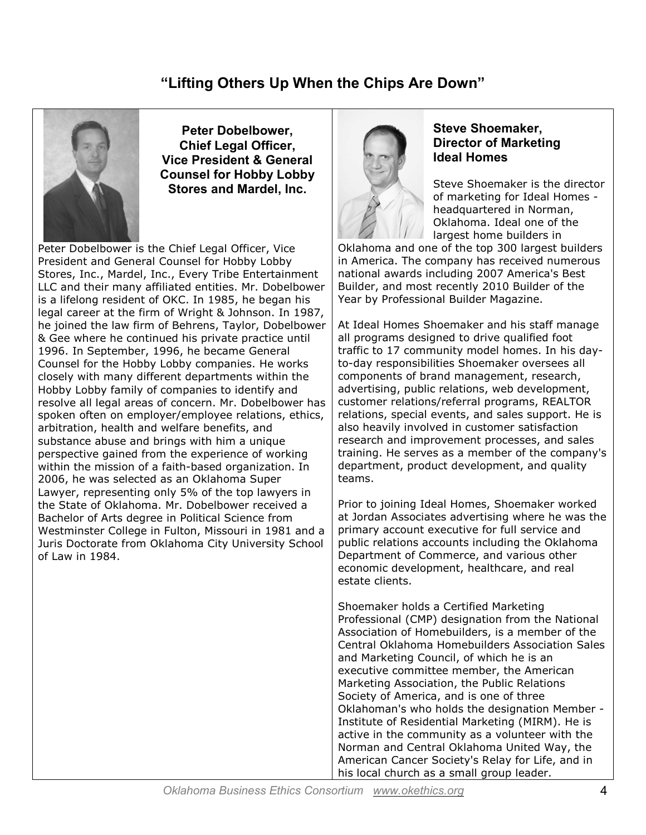# **"Lifting Others Up When the Chips Are Down"**



**Peter Dobelbower, Chief Legal Officer, Vice President & General Counsel for Hobby Lobby Stores and Mardel, Inc.**

Peter Dobelbower is the Chief Legal Officer, Vice President and General Counsel for Hobby Lobby Stores, Inc., Mardel, Inc., Every Tribe Entertainment LLC and their many affiliated entities. Mr. Dobelbower is a lifelong resident of OKC. In 1985, he began his legal career at the firm of Wright & Johnson. In 1987, he joined the law firm of Behrens, Taylor, Dobelbower & Gee where he continued his private practice until 1996. In September, 1996, he became General Counsel for the Hobby Lobby companies. He works closely with many different departments within the Hobby Lobby family of companies to identify and resolve all legal areas of concern. Mr. Dobelbower has spoken often on employer/employee relations, ethics, arbitration, health and welfare benefits, and substance abuse and brings with him a unique perspective gained from the experience of working within the mission of a faith-based organization. In 2006, he was selected as an Oklahoma Super Lawyer, representing only 5% of the top lawyers in the State of Oklahoma. Mr. Dobelbower received a Bachelor of Arts degree in Political Science from Westminster College in Fulton, Missouri in 1981 and a Juris Doctorate from Oklahoma City University School of Law in 1984.



#### **Steve Shoemaker, Director of Marketing Ideal Homes**

Steve Shoemaker is the director of marketing for Ideal Homes headquartered in Norman, Oklahoma. Ideal one of the largest home builders in

Oklahoma and one of the top 300 largest builders in America. The company has received numerous national awards including 2007 America's Best Builder, and most recently 2010 Builder of the Year by Professional Builder Magazine.

At Ideal Homes Shoemaker and his staff manage all programs designed to drive qualified foot traffic to 17 community model homes. In his dayto-day responsibilities Shoemaker oversees all components of brand management, research, advertising, public relations, web development, customer relations/referral programs, REALTOR relations, special events, and sales support. He is also heavily involved in customer satisfaction research and improvement processes, and sales training. He serves as a member of the company's department, product development, and quality teams.

Prior to joining Ideal Homes, Shoemaker worked at Jordan Associates advertising where he was the primary account executive for full service and public relations accounts including the Oklahoma Department of Commerce, and various other economic development, healthcare, and real estate clients.

Shoemaker holds a Certified Marketing Professional (CMP) designation from the National Association of Homebuilders, is a member of the Central Oklahoma Homebuilders Association Sales and Marketing Council, of which he is an executive committee member, the American Marketing Association, the Public Relations Society of America, and is one of three Oklahoman's who holds the designation Member - Institute of Residential Marketing (MIRM). He is active in the community as a volunteer with the Norman and Central Oklahoma United Way, the American Cancer Society's Relay for Life, and in his local church as a small group leader.